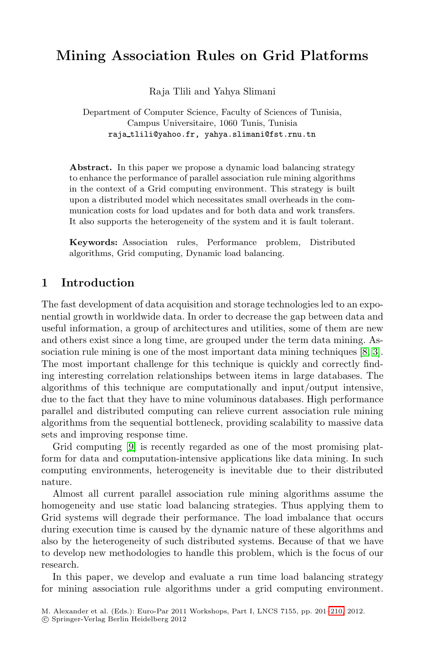# **Mining Association Rules on Grid Platforms**

Raja Tlili and Yahya Slimani

Department of Computer Science, Faculty of Sciences of Tunisia, Campus Universitaire, 1060 Tunis, Tunisia raja tlili@yahoo.fr, yahya.slimani@fst.rnu.tn

Abstract. In this paper we propose a dynamic load balancing strategy to enhance the performance of parallel association rule mining algorithms in the context of a Grid computing environment. This strategy is built upon a distributed model which necessitates small overheads in the communication costs for load updates and for both data and work transfers. It also supports the heterogeneity of the system and it is fault tolerant.

**Keywords:** Association rules, Performance problem, Distributed algorithms, Grid computing, Dynamic load balancing.

## **1 Introduction**

The fast development of data acquisition and storage technologies led to an exponential growth in worldwide data. In order to decrease the gap between data and useful information, a group of architectures and utilities, some of them are new and others exist since a long time, are grouped under the term data mining. Association rule mining is one of the most important data mining techniques [\[8,](#page-9-0) [3\]](#page-9-1). The most important challenge for this technique is quickly and correctly finding interesting correlation relationships between items in large databases. The algorithms of this technique are computationally and input/output intensive, due to the fact that they have to mine voluminous databases. High performance parallel and distributed computing can relieve current association rule mining algorithms from the sequential bottleneck, providing scalability to massive data sets and improving response time.

Grid computing [\[9\]](#page-9-2) is recently regarded as one of the most promising platform for data and computation-intensive applications like data mining. In such computing environments, heterogeneity is inevitable due to their distributed nature.

Almost all current parallel association rule mining algorithms assume the homogeneity and use static load balancing strategies. Thus applying them to Grid systems will degrade their performance. The load imbalance that occurs during execution time is caused by the dynamic nature of these algorithms and also by the heterogeneity of such distributed systems. Because of that we have to develop new methodologies to handle this problem, which is the focus of our research.

In this paper, we develop and evaluate a run time load balancing strategy for mining association rule algorithms under a grid computing environment.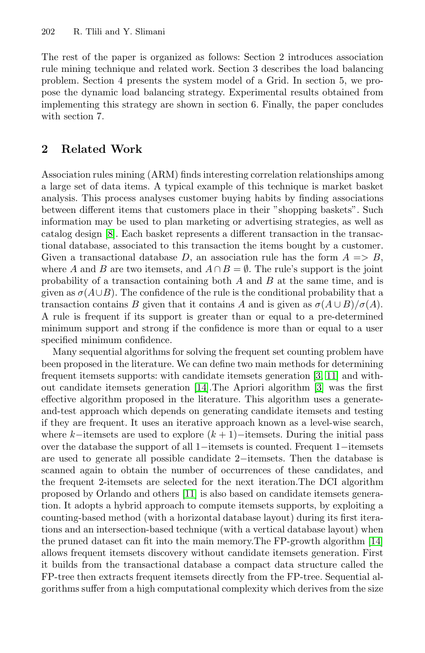The rest of the paper is organized as follows: Section 2 introduces association rule mining technique and related work. Section 3 describes the load balancing problem. Section 4 presents the system model of a Grid. In section 5, we propose the dynamic load balancing strategy. Experimental results obtained from implementing this strategy are shown in section 6. Finally, the paper concludes with section 7.

#### **2 Related Work**

Association rules mining (ARM) finds interesting correlation relationships among a large set of data items. A typical example of this technique is market basket analysis. This process analyses customer buying habits by finding associations between different items that customers place in their "shopping baskets". Such information may be used to plan marketing or advertising strategies, as well as catalog design [\[8\]](#page-9-0). Each basket represents a different transaction in the transactional database, associated to this transaction the items bought by a customer. Given a transactional database D, an association rule has the form  $A \implies B$ , where A and B are two itemsets, and  $A \cap B = \emptyset$ . The rule's support is the joint probability of a transaction containing both  $A$  and  $B$  at the same time, and is given as  $\sigma(A\cup B)$ . The confidence of the rule is the conditional probability that a transaction contains B given that it contains A and is given as  $\sigma(A \cup B)/\sigma(A)$ . A rule is frequent if its support is greater than or equal to a pre-determined minimum support and strong if the confidence is more than or equal to a user specified minimum confidence.

Many sequential algorithms for solving the frequent set counting problem have been proposed in the literature. We can define two main methods for determining frequent itemsets supports: with candidate itemsets generation [\[3,](#page-9-1) [11\]](#page-9-4) and without candidate itemsets generation [\[14\]](#page-9-5).The Apriori algorithm [\[3\]](#page-9-1) was the first effective algorithm proposed in the literature. This algorithm uses a generateand-test approach which depends on generating candidate itemsets and testing if they are frequent. It uses an iterative approach known as a level-wise search, where k–itemsets are used to explore  $(k + 1)$ –itemsets. During the initial pass over the database the support of all 1−itemsets is counted. Frequent 1−itemsets are used to generate all possible candidate 2−itemsets. Then the database is scanned again to obtain the number of occurrences of these candidates, and the frequent 2-itemsets are selected for the next iteration.The DCI algorithm proposed by Orlando and others [\[11\]](#page-9-4) is also based on candidate itemsets generation. It adopts a hybrid approach to compute itemsets supports, by exploiting a counting-based method (with a horizontal database layout) during its first iterations and an intersection-based technique (with a vertical database layout) when the pruned dataset can fit into the main memory.The FP-growth algorithm [\[14\]](#page-9-5) allows frequent itemsets discovery without candidate itemsets generation. First it builds from the transactional database a compact data structure called the FP-tree then extracts frequent itemsets directly from the FP-tree. Sequential algorithms suffer from a high computational complexity which derives from the size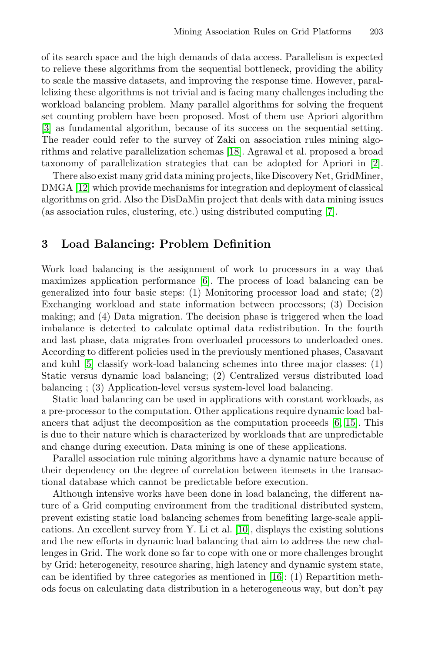of its search space and the high demands of data access. Parallelism is expected to relieve these algorithms from the sequential bottleneck, providing the ability to scale the massive datasets, and improving the response time. However, parallelizing these algorithms is not trivial and is facing many challenges including the workload balancing problem. Many parallel algorithms for solving the frequent set counting problem have been proposed. Most of them use Apriori algorithm [\[3\]](#page-9-1) as fundamental algorithm, because of its success on the sequential setting. The reader could refer to the survey of Zaki on association rules mining algorithms and relative parallelization schemas [\[18\]](#page-9-6). Agrawal et al. proposed a broad taxonomy of parallelization strategies that can be adopted for Apriori in [\[2\]](#page-9-7).

There also exist many grid data mining projects, like Discovery Net, GridMiner, DMGA [\[12\]](#page-9-8) which provide mechanisms for integration and deployment of classical algorithms on grid. Also the DisDaMin project that deals with data mining issues (as association rules, clustering, etc.) using distributed computing [\[7\]](#page-9-9).

#### **3 Load Balancing: Problem Definition**

Work load balancing is the assignment of work to processors in a way that maximizes application performance [\[6\]](#page-9-10). The process of load balancing can be generalized into four basic steps: (1) Monitoring processor load and state; (2) Exchanging workload and state information between processors; (3) Decision making; and (4) Data migration. The decision phase is triggered when the load imbalance is detected to calculate optimal data redistribution. In the fourth and last phase, data migrates from overloaded processors to underloaded ones. According to different policies used in the previously mentioned phases, Casavant and kuhl [\[5\]](#page-9-11) classify work-load balancing schemes into three major classes: (1) Static versus dynamic load balancing; (2) Centralized versus distributed load balancing ; (3) Application-level versus system-level load balancing.

Static load balancing can be used in applications with constant workloads, as a pre-processor to the computation. Other applications require dynamic load balancers that adjust the decomposition as the computation proceeds [\[6,](#page-9-10) [15\]](#page-9-12). This is due to their nature which is characterized by workloads that are unpredictable and change during execution. Data mining is one of these applications.

Parallel association rule mining algorithms have a dynamic nature because of their dependency on the degree of correlation between itemsets in the transactional database which cannot be predictable before execution.

Although intensive works have been done in load balancing, the different nature of a Grid computing environment from the traditional distributed system, prevent existing static load balancing schemes from benefiting large-scale applications. An excellent survey from Y. Li et al. [\[10\]](#page-9-13), displays the existing solutions and the new efforts in dynamic load balancing that aim to address the new challenges in Grid. The work done so far to cope with one or more challenges brought by Grid: heterogeneity, resource sharing, high latency and dynamic system state, can be identified by three categories as mentioned in [\[16\]](#page-9-14): (1) Repartition methods focus on calculating data distribution in a heterogeneous way, but don't pay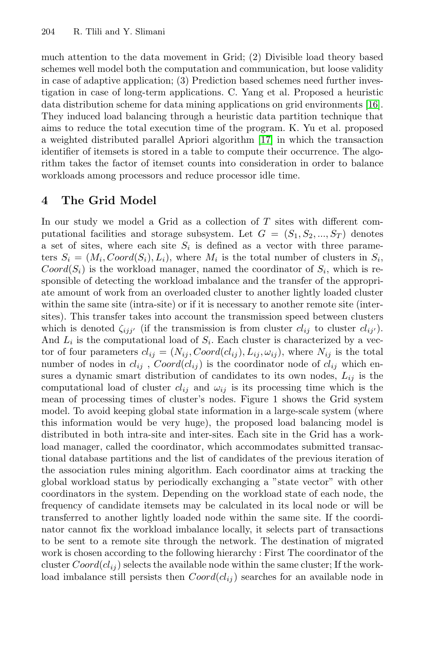much attention to the data movement in Grid; (2) Divisible load theory based schemes well model both the computation and communication, but loose validity in case of adaptive application; (3) Prediction based schemes need further investigation in case of long-term applications. C. Yang et al. Proposed a heuristic data distribution scheme for data mining applications on grid environments [\[16\]](#page-9-14). They induced load balancing through a heuristic data partition technique that aims to reduce the total execution time of the program. K. Yu et al. proposed a weighted distributed parallel Apriori algorithm [\[17\]](#page-9-15) in which the transaction identifier of itemsets is stored in a table to compute their occurrence. The algorithm takes the factor of itemset counts into consideration in order to balance workloads among processors and reduce processor idle time.

# **4 The Grid Model**

In our study we model a Grid as a collection of  $T$  sites with different computational facilities and storage subsystem. Let  $G = (S_1, S_2, ..., S_T)$  denotes a set of sites, where each site  $S_i$  is defined as a vector with three parameters  $S_i = (M_i, C \text{ } ord(S_i), L_i)$ , where  $M_i$  is the total number of clusters in  $S_i$ ,  $Coord(S_i)$  is the workload manager, named the coordinator of  $S_i$ , which is responsible of detecting the workload imbalance and the transfer of the appropriate amount of work from an overloaded cluster to another lightly loaded cluster within the same site (intra-site) or if it is necessary to another remote site (intersites). This transfer takes into account the transmission speed between clusters which is denoted  $\zeta_{ijj'}$  (if the transmission is from cluster  $cl_{ij}$  to cluster  $cl_{ij'}$ ). And  $L_i$  is the computational load of  $S_i$ . Each cluster is characterized by a vector of four parameters  $cl_{ij} = (N_{ij}, Coord(cl_{ij}), L_{ij}, \omega_{ij})$ , where  $N_{ij}$  is the total number of nodes in  $cl_{ij}$ ,  $Coord(cl_{ij})$  is the coordinator node of  $cl_{ij}$  which ensures a dynamic smart distribution of candidates to its own nodes,  $L_{ij}$  is the computational load of cluster  $cl_{ij}$  and  $\omega_{ij}$  is its processing time which is the mean of processing times of cluster's nodes. Figure 1 shows the Grid system model. To avoid keeping global state information in a large-scale system (where this information would be very huge), the proposed load balancing model is distributed in both intra-site and inter-sites. Each site in the Grid has a workload manager, called the coordinator, which accommodates submitted transactional database partitions and the list of candidates of the previous iteration of the association rules mining algorithm. Each coordinator aims at tracking the global workload status by periodically exchanging a "state vector" with other coordinators in the system. Depending on the workload state of each node, the frequency of candidate itemsets may be calculated in its local node or will be transferred to another lightly loaded node within the same site. If the coordinator cannot fix the workload imbalance locally, it selects part of transactions to be sent to a remote site through the network. The destination of migrated work is chosen according to the following hierarchy : First The coordinator of the cluster  $Coord(cl_{ij})$  selects the available node within the same cluster; If the workload imbalance still persists then  $Coord(cl_{ij})$  searches for an available node in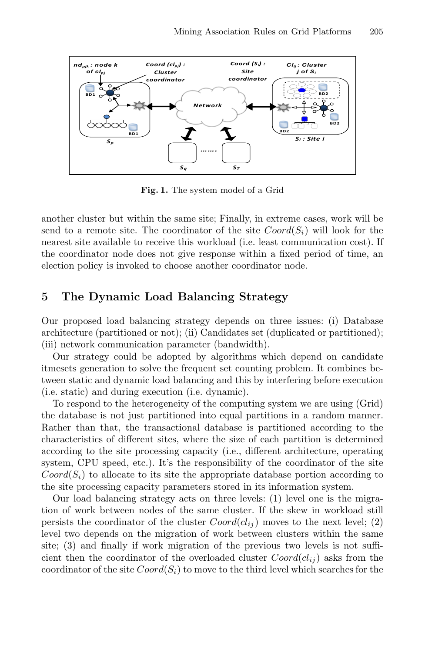

**Fig. 1.** The system model of a Grid

another cluster but within the same site; Finally, in extreme cases, work will be send to a remote site. The coordinator of the site  $Coord(S_i)$  will look for the nearest site available to receive this workload (i.e. least communication cost). If the coordinator node does not give response within a fixed period of time, an election policy is invoked to choose another coordinator node.

## **5 The Dynamic Load Balancing Strategy**

Our proposed load balancing strategy depends on three issues: (i) Database architecture (partitioned or not); (ii) Candidates set (duplicated or partitioned); (iii) network communication parameter (bandwidth).

Our strategy could be adopted by algorithms which depend on candidate itmesets generation to solve the frequent set counting problem. It combines between static and dynamic load balancing and this by interfering before execution (i.e. static) and during execution (i.e. dynamic).

To respond to the heterogeneity of the computing system we are using (Grid) the database is not just partitioned into equal partitions in a random manner. Rather than that, the transactional database is partitioned according to the characteristics of different sites, where the size of each partition is determined according to the site processing capacity (i.e., different architecture, operating system, CPU speed, etc.). It's the responsibility of the coordinator of the site  $Coord(S_i)$  to allocate to its site the appropriate database portion according to the site processing capacity parameters stored in its information system.

Our load balancing strategy acts on three levels: (1) level one is the migration of work between nodes of the same cluster. If the skew in workload still persists the coordinator of the cluster  $Coord(c_{ij})$  moves to the next level; (2) level two depends on the migration of work between clusters within the same site; (3) and finally if work migration of the previous two levels is not sufficient then the coordinator of the overloaded cluster  $Coord(cl_{ij})$  asks from the coordinator of the site  $Coord(S_i)$  to move to the third level which searches for the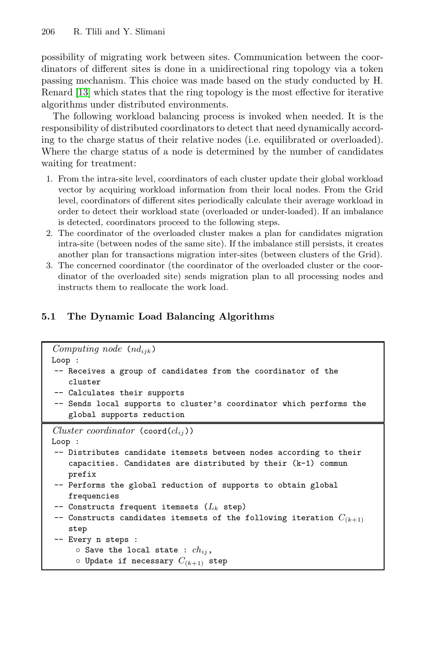possibility of migrating work between sites. Communication between the coordinators of different sites is done in a unidirectional ring topology via a token passing mechanism. This choice was made based on the study conducted by H. Renard [\[13\]](#page-9-16) which states that the ring topology is the most effective for iterative algorithms under distributed environments.

The following workload balancing process is invoked when needed. It is the responsibility of distributed coordinators to detect that need dynamically according to the charge status of their relative nodes (i.e. equilibrated or overloaded). Where the charge status of a node is determined by the number of candidates waiting for treatment:

- 1. From the intra-site level, coordinators of each cluster update their global workload vector by acquiring workload information from their local nodes. From the Grid level, coordinators of different sites periodically calculate their average workload in order to detect their workload state (overloaded or under-loaded). If an imbalance is detected, coordinators proceed to the following steps.
- 2. The coordinator of the overloaded cluster makes a plan for candidates migration intra-site (between nodes of the same site). If the imbalance still persists, it creates another plan for transactions migration inter-sites (between clusters of the Grid).
- 3. The concerned coordinator (the coordinator of the overloaded cluster or the coordinator of the overloaded site) sends migration plan to all processing nodes and instructs them to reallocate the work load.

# **5.1 The Dynamic Load Balancing Algorithms**

```
Computing node (ndijk)
Loop :
-- Receives a group of candidates from the coordinator of the
   cluster
-- Calculates their supports
-- Sends local supports to cluster's coordinator which performs the
   global supports reduction
Cluster coordinator (coord(cl_{ii}))
Loop :
-- Distributes candidate itemsets between nodes according to their
   capacities. Candidates are distributed by their (k-1) commun
   prefix
-- Performs the global reduction of supports to obtain global
   frequencies
-- Constructs frequent itemsets (Lk step)
-- Constructs candidates itemsets of the following iteration C(k+1)
   step
-- Every n steps :
     \circ Save the local state : ch_{ij},
     \circ Update if necessary C_{(k+1)} step
```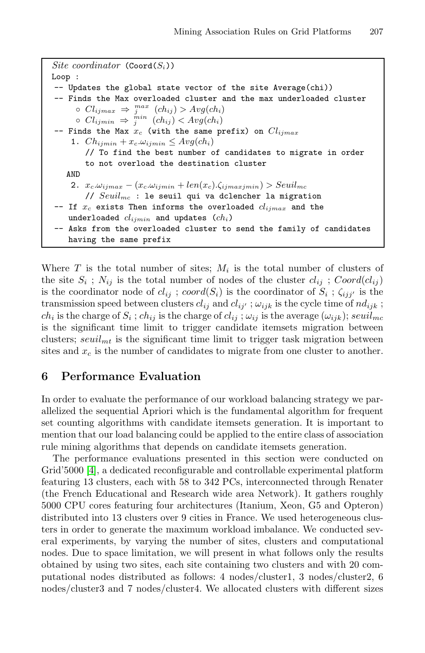```
Site coordinator (Coord(S_i))
Loop :
-- Updates the global state vector of the site Average(chi))
-- Finds the Max overloaded cluster and the max underloaded cluster
      ◦ Clijmax ⇒ max
j (chij ) > Avg(chi)
      ◦ Clijmin ⇒ min
j (chij ) < Avg(chi)
-- Finds the Max xc (with the same prefix) on Clijmax
    1. Ch_{ijmin} + x_c \omega_{ijmin} \leq Avg(ch_i)// To find the best number of candidates to migrate in order
        to not overload the destination cluster
   AND
    2. x_c \omega_{ijmax} - (x_c \omega_{ijmin} + len(x_c).\zeta_{ijmaxjmin}) > Seuil_{mc}// Seuilmc : le seuil qui va dclencher la migration
-- If xc exists Then informs the overloaded clijmax and the
    underloaded clijmin and updates (chi)
-- Asks from the overloaded cluster to send the family of candidates
    having the same prefix
```
Where  $T$  is the total number of sites;  $M_i$  is the total number of clusters of the site  $S_i$ ;  $N_{ij}$  is the total number of nodes of the cluster  $cl_{ij}$ ;  $Coord(cl_{ij})$ is the coordinator node of  $cl_{ij}$ ; coord $(S_i)$  is the coordinator of  $S_i$ ;  $\zeta_{ijj'}$  is the transmission speed between clusters  $cl_{ij}$  and  $cl_{ij'}$ ;  $\omega_{ijk}$  is the cycle time of  $nd_{ijk}$ ;  $ch_i$  is the charge of  $S_i$ ;  $ch_{ij}$  is the charge of  $cl_{ij}$ ;  $\omega_{ij}$  is the average  $(\omega_{ijk})$ ;  $seuil_{mc}$ is the significant time limit to trigger candidate itemsets migration between clusters;  $seuil<sub>mt</sub>$  is the significant time limit to trigger task migration between sites and  $x_c$  is the number of candidates to migrate from one cluster to another.

#### **6 Performance Evaluation**

In order to evaluate the performance of our workload balancing strategy we parallelized the sequential Apriori which is the fundamental algorithm for frequent set counting algorithms with candidate itemsets generation. It is important to mention that our load balancing could be applied to the entire class of association rule mining algorithms that depends on candidate itemsets generation.

The performance evaluations presented in this section were conducted on Grid'5000 [\[4\]](#page-9-17), a dedicated reconfigurable and controllable experimental platform featuring 13 clusters, each with 58 to 342 PCs, interconnected through Renater (the French Educational and Research wide area Network). It gathers roughly 5000 CPU cores featuring four architectures (Itanium, Xeon, G5 and Opteron) distributed into 13 clusters over 9 cities in France. We used heterogeneous clusters in order to generate the maximum workload imbalance. We conducted several experiments, by varying the number of sites, clusters and computational nodes. Due to space limitation, we will present in what follows only the results obtained by using two sites, each site containing two clusters and with 20 computational nodes distributed as follows: 4 nodes/cluster1, 3 nodes/cluster2, 6 nodes/cluster3 and 7 nodes/cluster4. We allocated clusters with different sizes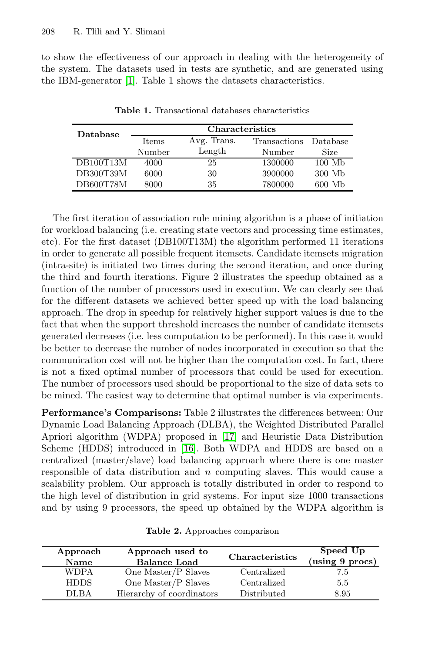to show the effectiveness of our approach in dealing with the heterogeneity of the system. The datasets used in tests are synthetic, and are generated using the IBM-generator [\[1\]](#page-9-18). Table 1 shows the datasets characteristics.

| Database  | <b>Characteristics</b> |             |              |                  |
|-----------|------------------------|-------------|--------------|------------------|
|           | <b>Items</b>           | Avg. Trans. | Transactions | Database         |
|           | Number                 | Length      | Number       | Size             |
| DB100T13M | 4000                   | 25          | 1300000      | $100 \text{ Mb}$ |
| DB300T39M | 6000                   | 30          | 3900000      | 300 Mb           |
| DB600T78M | 8000                   | 35          | 7800000      | 600 Mb           |

**Table 1.** Transactional databases characteristics

The first iteration of association rule mining algorithm is a phase of initiation for workload balancing (i.e. creating state vectors and processing time estimates, etc). For the first dataset (DB100T13M) the algorithm performed 11 iterations in order to generate all possible frequent itemsets. Candidate itemsets migration (intra-site) is initiated two times during the second iteration, and once during the third and fourth iterations. Figure 2 illustrates the speedup obtained as a function of the number of processors used in execution. We can clearly see that for the different datasets we achieved better speed up with the load balancing approach. The drop in speedup for relatively higher support values is due to the fact that when the support threshold increases the number of candidate itemsets generated decreases (i.e. less computation to be performed). In this case it would be better to decrease the number of nodes incorporated in execution so that the communication cost will not be higher than the computation cost. In fact, there is not a fixed optimal number of processors that could be used for execution. The number of processors used should be proportional to the size of data sets to be mined. The easiest way to determine that optimal number is via experiments.

**Performance's Comparisons:** Table 2 illustrates the differences between: Our Dynamic Load Balancing Approach (DLBA), the Weighted Distributed Parallel Apriori algorithm (WDPA) proposed in [\[17\]](#page-9-15) and Heuristic Data Distribution Scheme (HDDS) introduced in [\[16\]](#page-9-14). Both WDPA and HDDS are based on a centralized (master/slave) load balancing approach where there is one master responsible of data distribution and  $n$  computing slaves. This would cause a scalability problem. Our approach is totally distributed in order to respond to the high level of distribution in grid systems. For input size 1000 transactions and by using 9 processors, the speed up obtained by the WDPA algorithm is

| Approach<br>Name | Approach used to<br><b>Balance Load</b> | Characteristics | Speed Up<br>(using 9 procs) |
|------------------|-----------------------------------------|-----------------|-----------------------------|
| <b>WDPA</b>      | One Master/P Slaves                     | Centralized     | 7.5                         |
| <b>HDDS</b>      | One Master/P Slaves                     | Centralized     | 5.5                         |
| <b>DLBA</b>      | Hierarchy of coordinators               | Distributed     | 8.95                        |

**Table 2.** Approaches comparison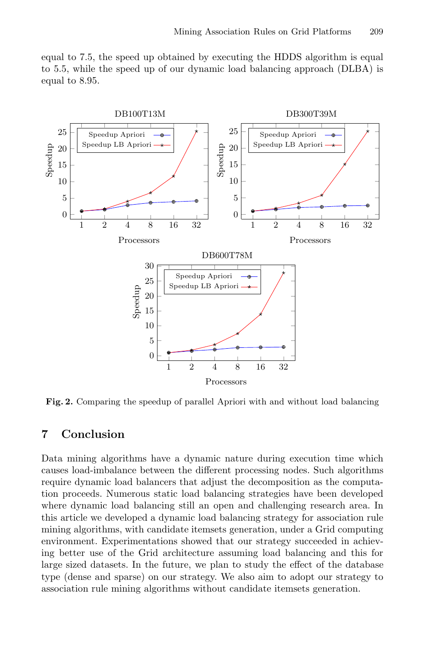equal to 7.5, the speed up obtained by executing the HDDS algorithm is equal to 5.5, while the speed up of our dynamic load balancing approach (DLBA) is equal to 8.95.



**Fig. 2.** Comparing the speedup of parallel Apriori with and without load balancing

# **7 Conclusion**

Data mining algorithms have a dynamic nature during execution time which causes load-imbalance between the different processing nodes. Such algorithms require dynamic load balancers that adjust the decomposition as the computation proceeds. Numerous static load balancing strategies have been developed where dynamic load balancing still an open and challenging research area. In this article we developed a dynamic load balancing strategy for association rule mining algorithms, with candidate itemsets generation, under a Grid computing environment. Experimentations showed that our strategy succeeded in achieving better use of the Grid architecture assuming load balancing and this for large sized datasets. In the future, we plan to study the effect of the database type (dense and sparse) on our strategy. We also aim to adopt our strategy to association rule mining algorithms without candidate itemsets generation.